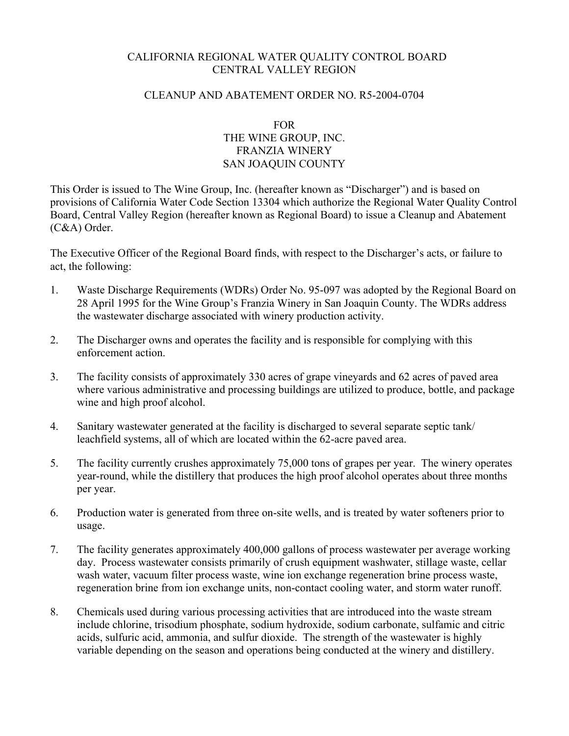# CALIFORNIA REGIONAL WATER QUALITY CONTROL BOARD CENTRAL VALLEY REGION

### CLEANUP AND ABATEMENT ORDER NO. R5-2004-0704

# FOR THE WINE GROUP, INC. FRANZIA WINERY SAN JOAQUIN COUNTY

This Order is issued to The Wine Group, Inc. (hereafter known as "Discharger") and is based on provisions of California Water Code Section 13304 which authorize the Regional Water Quality Control Board, Central Valley Region (hereafter known as Regional Board) to issue a Cleanup and Abatement (C&A) Order.

The Executive Officer of the Regional Board finds, with respect to the Discharger's acts, or failure to act, the following:

- 1. Waste Discharge Requirements (WDRs) Order No. 95-097 was adopted by the Regional Board on 28 April 1995 for the Wine Group's Franzia Winery in San Joaquin County. The WDRs address the wastewater discharge associated with winery production activity.
- 2. The Discharger owns and operates the facility and is responsible for complying with this enforcement action.
- 3. The facility consists of approximately 330 acres of grape vineyards and 62 acres of paved area where various administrative and processing buildings are utilized to produce, bottle, and package wine and high proof alcohol.
- 4. Sanitary wastewater generated at the facility is discharged to several separate septic tank/ leachfield systems, all of which are located within the 62-acre paved area.
- 5. The facility currently crushes approximately 75,000 tons of grapes per year. The winery operates year-round, while the distillery that produces the high proof alcohol operates about three months per year.
- 6. Production water is generated from three on-site wells, and is treated by water softeners prior to usage.
- 7. The facility generates approximately 400,000 gallons of process wastewater per average working day. Process wastewater consists primarily of crush equipment washwater, stillage waste, cellar wash water, vacuum filter process waste, wine ion exchange regeneration brine process waste, regeneration brine from ion exchange units, non-contact cooling water, and storm water runoff.
- 8. Chemicals used during various processing activities that are introduced into the waste stream include chlorine, trisodium phosphate, sodium hydroxide, sodium carbonate, sulfamic and citric acids, sulfuric acid, ammonia, and sulfur dioxide. The strength of the wastewater is highly variable depending on the season and operations being conducted at the winery and distillery.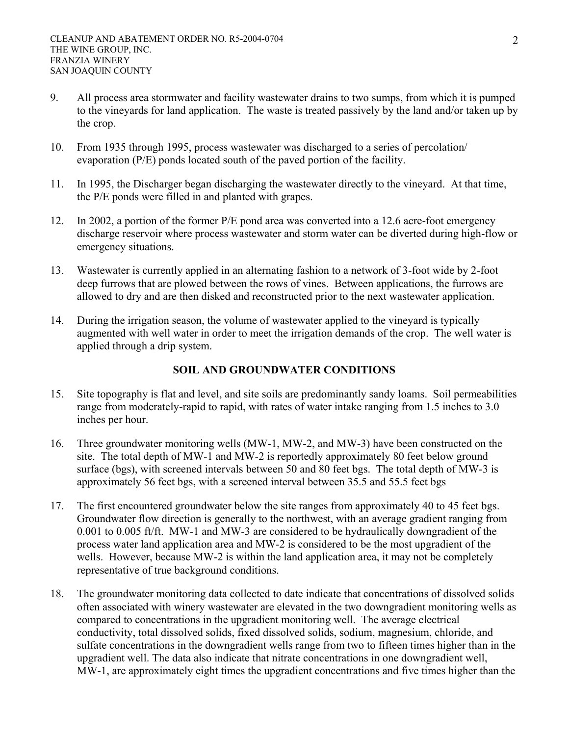- 9. All process area stormwater and facility wastewater drains to two sumps, from which it is pumped to the vineyards for land application. The waste is treated passively by the land and/or taken up by the crop.
- 10. From 1935 through 1995, process wastewater was discharged to a series of percolation/ evaporation (P/E) ponds located south of the paved portion of the facility.
- 11. In 1995, the Discharger began discharging the wastewater directly to the vineyard. At that time, the P/E ponds were filled in and planted with grapes.
- 12. In 2002, a portion of the former P/E pond area was converted into a 12.6 acre-foot emergency discharge reservoir where process wastewater and storm water can be diverted during high-flow or emergency situations.
- 13. Wastewater is currently applied in an alternating fashion to a network of 3-foot wide by 2-foot deep furrows that are plowed between the rows of vines. Between applications, the furrows are allowed to dry and are then disked and reconstructed prior to the next wastewater application.
- 14. During the irrigation season, the volume of wastewater applied to the vineyard is typically augmented with well water in order to meet the irrigation demands of the crop. The well water is applied through a drip system.

# **SOIL AND GROUNDWATER CONDITIONS**

- 15. Site topography is flat and level, and site soils are predominantly sandy loams. Soil permeabilities range from moderately-rapid to rapid, with rates of water intake ranging from 1.5 inches to 3.0 inches per hour.
- 16. Three groundwater monitoring wells (MW-1, MW-2, and MW-3) have been constructed on the site. The total depth of MW-1 and MW-2 is reportedly approximately 80 feet below ground surface (bgs), with screened intervals between 50 and 80 feet bgs. The total depth of MW-3 is approximately 56 feet bgs, with a screened interval between 35.5 and 55.5 feet bgs
- 17. The first encountered groundwater below the site ranges from approximately 40 to 45 feet bgs. Groundwater flow direction is generally to the northwest, with an average gradient ranging from 0.001 to 0.005 ft/ft. MW-1 and MW-3 are considered to be hydraulically downgradient of the process water land application area and MW-2 is considered to be the most upgradient of the wells. However, because MW-2 is within the land application area, it may not be completely representative of true background conditions.
- 18. The groundwater monitoring data collected to date indicate that concentrations of dissolved solids often associated with winery wastewater are elevated in the two downgradient monitoring wells as compared to concentrations in the upgradient monitoring well. The average electrical conductivity, total dissolved solids, fixed dissolved solids, sodium, magnesium, chloride, and sulfate concentrations in the downgradient wells range from two to fifteen times higher than in the upgradient well. The data also indicate that nitrate concentrations in one downgradient well, MW-1, are approximately eight times the upgradient concentrations and five times higher than the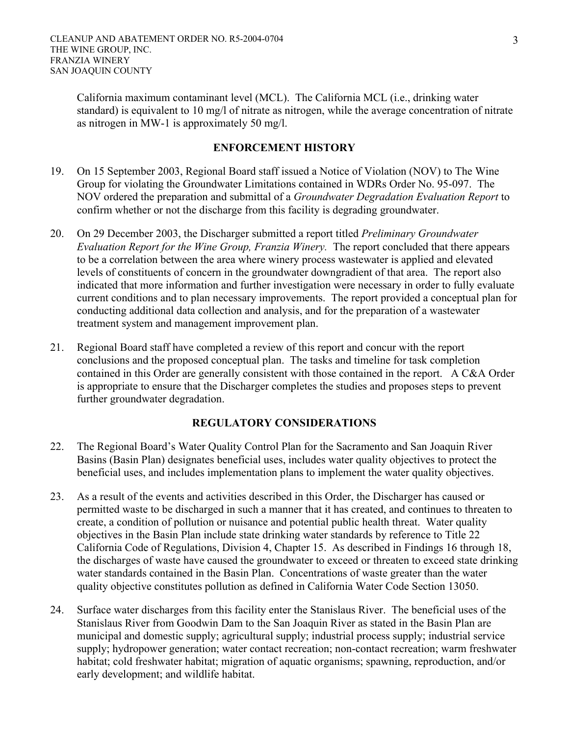California maximum contaminant level (MCL). The California MCL (i.e., drinking water standard) is equivalent to 10 mg/l of nitrate as nitrogen, while the average concentration of nitrate as nitrogen in MW-1 is approximately 50 mg/l.

#### **ENFORCEMENT HISTORY**

- 19. On 15 September 2003, Regional Board staff issued a Notice of Violation (NOV) to The Wine Group for violating the Groundwater Limitations contained in WDRs Order No. 95-097. The NOV ordered the preparation and submittal of a *Groundwater Degradation Evaluation Report* to confirm whether or not the discharge from this facility is degrading groundwater.
- 20. On 29 December 2003, the Discharger submitted a report titled *Preliminary Groundwater Evaluation Report for the Wine Group, Franzia Winery.* The report concluded that there appears to be a correlation between the area where winery process wastewater is applied and elevated levels of constituents of concern in the groundwater downgradient of that area. The report also indicated that more information and further investigation were necessary in order to fully evaluate current conditions and to plan necessary improvements. The report provided a conceptual plan for conducting additional data collection and analysis, and for the preparation of a wastewater treatment system and management improvement plan.
- 21. Regional Board staff have completed a review of this report and concur with the report conclusions and the proposed conceptual plan. The tasks and timeline for task completion contained in this Order are generally consistent with those contained in the report. A C&A Order is appropriate to ensure that the Discharger completes the studies and proposes steps to prevent further groundwater degradation.

### **REGULATORY CONSIDERATIONS**

- 22. The Regional Board's Water Quality Control Plan for the Sacramento and San Joaquin River Basins (Basin Plan) designates beneficial uses, includes water quality objectives to protect the beneficial uses, and includes implementation plans to implement the water quality objectives.
- 23. As a result of the events and activities described in this Order, the Discharger has caused or permitted waste to be discharged in such a manner that it has created, and continues to threaten to create, a condition of pollution or nuisance and potential public health threat. Water quality objectives in the Basin Plan include state drinking water standards by reference to Title 22 California Code of Regulations, Division 4, Chapter 15. As described in Findings 16 through 18, the discharges of waste have caused the groundwater to exceed or threaten to exceed state drinking water standards contained in the Basin Plan. Concentrations of waste greater than the water quality objective constitutes pollution as defined in California Water Code Section 13050.
- 24. Surface water discharges from this facility enter the Stanislaus River. The beneficial uses of the Stanislaus River from Goodwin Dam to the San Joaquin River as stated in the Basin Plan are municipal and domestic supply; agricultural supply; industrial process supply; industrial service supply; hydropower generation; water contact recreation; non-contact recreation; warm freshwater habitat; cold freshwater habitat; migration of aquatic organisms; spawning, reproduction, and/or early development; and wildlife habitat.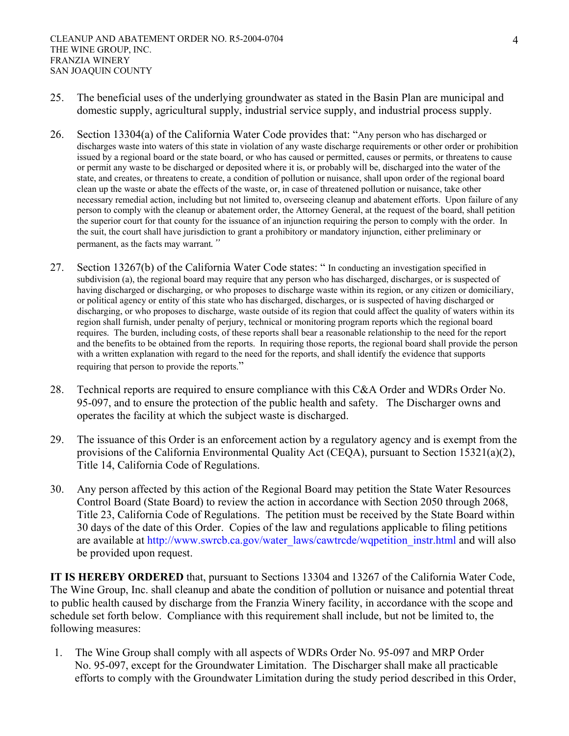- 25. The beneficial uses of the underlying groundwater as stated in the Basin Plan are municipal and domestic supply, agricultural supply, industrial service supply, and industrial process supply.
- 26. Section 13304(a) of the California Water Code provides that: "Any person who has discharged or discharges waste into waters of this state in violation of any waste discharge requirements or other order or prohibition issued by a regional board or the state board, or who has caused or permitted, causes or permits, or threatens to cause or permit any waste to be discharged or deposited where it is, or probably will be, discharged into the water of the state, and creates, or threatens to create, a condition of pollution or nuisance, shall upon order of the regional board clean up the waste or abate the effects of the waste, or, in case of threatened pollution or nuisance, take other necessary remedial action, including but not limited to, overseeing cleanup and abatement efforts. Upon failure of any person to comply with the cleanup or abatement order, the Attorney General, at the request of the board, shall petition the superior court for that county for the issuance of an injunction requiring the person to comply with the order. In the suit, the court shall have jurisdiction to grant a prohibitory or mandatory injunction, either preliminary or permanent, as the facts may warrant*."*
- 27. Section 13267(b) of the California Water Code states: " In conducting an investigation specified in subdivision (a), the regional board may require that any person who has discharged, discharges, or is suspected of having discharged or discharging, or who proposes to discharge waste within its region, or any citizen or domiciliary, or political agency or entity of this state who has discharged, discharges, or is suspected of having discharged or discharging, or who proposes to discharge, waste outside of its region that could affect the quality of waters within its region shall furnish, under penalty of perjury, technical or monitoring program reports which the regional board requires. The burden, including costs, of these reports shall bear a reasonable relationship to the need for the report and the benefits to be obtained from the reports. In requiring those reports, the regional board shall provide the person with a written explanation with regard to the need for the reports, and shall identify the evidence that supports requiring that person to provide the reports."
- 28. Technical reports are required to ensure compliance with this C&A Order and WDRs Order No. 95-097, and to ensure the protection of the public health and safety. The Discharger owns and operates the facility at which the subject waste is discharged.
- 29. The issuance of this Order is an enforcement action by a regulatory agency and is exempt from the provisions of the California Environmental Quality Act (CEQA), pursuant to Section 15321(a)(2), Title 14, California Code of Regulations.
- 30. Any person affected by this action of the Regional Board may petition the State Water Resources Control Board (State Board) to review the action in accordance with Section 2050 through 2068, Title 23, California Code of Regulations. The petition must be received by the State Board within 30 days of the date of this Order. Copies of the law and regulations applicable to filing petitions are available at http://www.swrcb.ca.gov/water\_laws/cawtrcde/wqpetition\_instr.html and will also be provided upon request.

**IT IS HEREBY ORDERED** that, pursuant to Sections 13304 and 13267 of the California Water Code, The Wine Group, Inc. shall cleanup and abate the condition of pollution or nuisance and potential threat to public health caused by discharge from the Franzia Winery facility, in accordance with the scope and schedule set forth below. Compliance with this requirement shall include, but not be limited to, the following measures:

1. The Wine Group shall comply with all aspects of WDRs Order No. 95-097 and MRP Order No. 95-097, except for the Groundwater Limitation. The Discharger shall make all practicable efforts to comply with the Groundwater Limitation during the study period described in this Order,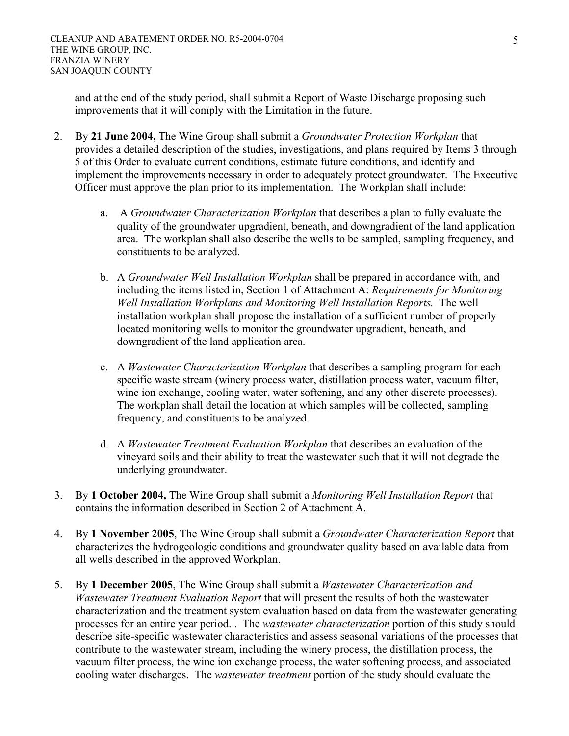and at the end of the study period, shall submit a Report of Waste Discharge proposing such improvements that it will comply with the Limitation in the future.

- 2. By **21 June 2004,** The Wine Group shall submit a *Groundwater Protection Workplan* that provides a detailed description of the studies, investigations, and plans required by Items 3 through 5 of this Order to evaluate current conditions, estimate future conditions, and identify and implement the improvements necessary in order to adequately protect groundwater. The Executive Officer must approve the plan prior to its implementation. The Workplan shall include:
	- a. A *Groundwater Characterization Workplan* that describes a plan to fully evaluate the quality of the groundwater upgradient, beneath, and downgradient of the land application area. The workplan shall also describe the wells to be sampled, sampling frequency, and constituents to be analyzed.
	- b. A *Groundwater Well Installation Workplan* shall be prepared in accordance with, and including the items listed in, Section 1 of Attachment A: *Requirements for Monitoring Well Installation Workplans and Monitoring Well Installation Reports.* The well installation workplan shall propose the installation of a sufficient number of properly located monitoring wells to monitor the groundwater upgradient, beneath, and downgradient of the land application area.
	- c. A *Wastewater Characterization Workplan* that describes a sampling program for each specific waste stream (winery process water, distillation process water, vacuum filter, wine ion exchange, cooling water, water softening, and any other discrete processes). The workplan shall detail the location at which samples will be collected, sampling frequency, and constituents to be analyzed.
	- d. A *Wastewater Treatment Evaluation Workplan* that describes an evaluation of the vineyard soils and their ability to treat the wastewater such that it will not degrade the underlying groundwater.
- 3. By **1 October 2004,** The Wine Group shall submit a *Monitoring Well Installation Report* that contains the information described in Section 2 of Attachment A.
- 4. By **1 November 2005**, The Wine Group shall submit a *Groundwater Characterization Report* that characterizes the hydrogeologic conditions and groundwater quality based on available data from all wells described in the approved Workplan.
- 5. By **1 December 2005**, The Wine Group shall submit a *Wastewater Characterization and Wastewater Treatment Evaluation Report* that will present the results of both the wastewater characterization and the treatment system evaluation based on data from the wastewater generating processes for an entire year period. . The *wastewater characterization* portion of this study should describe site-specific wastewater characteristics and assess seasonal variations of the processes that contribute to the wastewater stream, including the winery process, the distillation process, the vacuum filter process, the wine ion exchange process, the water softening process, and associated cooling water discharges. The *wastewater treatment* portion of the study should evaluate the